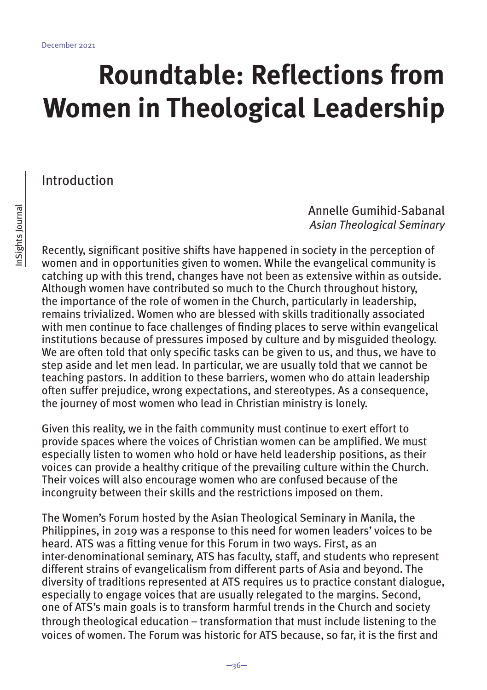# **Roundtable: Reflections from Women in Theological Leadership**

Introduction

Annelle Gumihid-Sabanal *Asian Theological Seminary*

Recently, significant positive shifts have happened in society in the perception of women and in opportunities given to women. While the evangelical community is catching up with this trend, changes have not been as extensive within as outside. Although women have contributed so much to the Church throughout history, the importance of the role of women in the Church, particularly in leadership, remains trivialized. Women who are blessed with skills traditionally associated with men continue to face challenges of finding places to serve within evangelical institutions because of pressures imposed by culture and by misguided theology. We are often told that only specific tasks can be given to us, and thus, we have to step aside and let men lead. In particular, we are usually told that we cannot be teaching pastors. In addition to these barriers, women who do attain leadership often suffer prejudice, wrong expectations, and stereotypes. As a consequence, the journey of most women who lead in Christian ministry is lonely.

Given this reality, we in the faith community must continue to exert effort to provide spaces where the voices of Christian women can be amplified. We must especially listen to women who hold or have held leadership positions, as their voices can provide a healthy critique of the prevailing culture within the Church. Their voices will also encourage women who are confused because of the incongruity between their skills and the restrictions imposed on them.

The Women's Forum hosted by the Asian Theological Seminary in Manila, the Philippines, in 2019 was a response to this need for women leaders' voices to be heard. ATS was a fitting venue for this Forum in two ways. First, as an inter-denominational seminary, ATS has faculty, staff, and students who represent different strains of evangelicalism from different parts of Asia and beyond. The diversity of traditions represented at ATS requires us to practice constant dialogue, especially to engage voices that are usually relegated to the margins. Second, one of ATS's main goals is to transform harmful trends in the Church and society through theological education – transformation that must include listening to the voices of women. The Forum was historic for ATS because, so far, it is the first and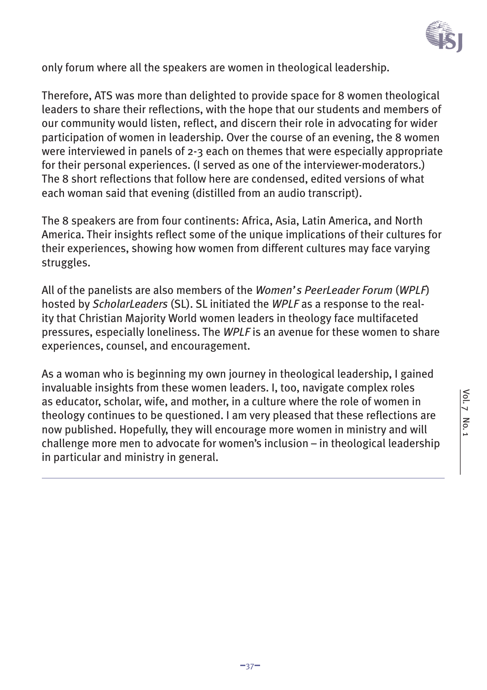

only forum where all the speakers are women in theological leadership.

Therefore, ATS was more than delighted to provide space for 8 women theological leaders to share their reflections, with the hope that our students and members of our community would listen, reflect, and discern their role in advocating for wider participation of women in leadership. Over the course of an evening, the 8 women were interviewed in panels of 2-3 each on themes that were especially appropriate for their personal experiences. (I served as one of the interviewer-moderators.) The 8 short reflections that follow here are condensed, edited versions of what each woman said that evening (distilled from an audio transcript).

The 8 speakers are from four continents: Africa, Asia, Latin America, and North America. Their insights reflect some of the unique implications of their cultures for their experiences, showing how women from different cultures may face varying struggles.

All of the panelists are also members of the *Women's PeerLeader Forum* (*WPLF*) hosted by *ScholarLeaders* (SL). SL initiated the *WPLF* as a response to the reality that Christian Majority World women leaders in theology face multifaceted pressures, especially loneliness. The *WPLF* is an avenue for these women to share experiences, counsel, and encouragement.

As a woman who is beginning my own journey in theological leadership, I gained invaluable insights from these women leaders. I, too, navigate complex roles as educator, scholar, wife, and mother, in a culture where the role of women in theology continues to be questioned. I am very pleased that these reflections are now published. Hopefully, they will encourage more women in ministry and will challenge more men to advocate for women's inclusion – in theological leadership in particular and ministry in general.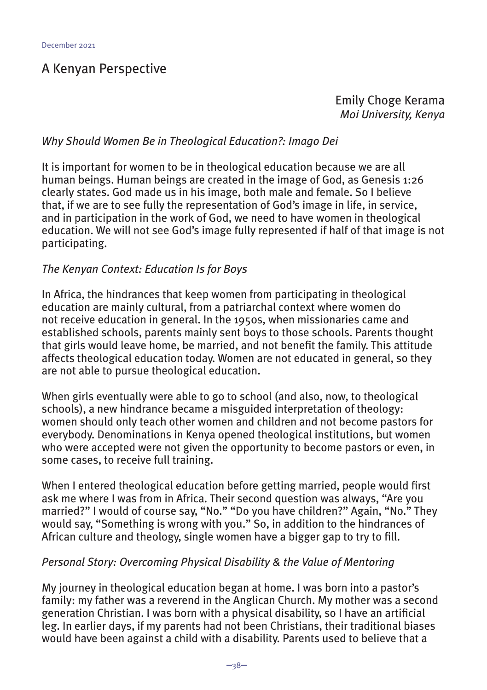#### A Kenyan Perspective

Emily Choge Kerama *Moi University, Kenya*

#### *Why Should Women Be in Theological Education?: Imago Dei*

It is important for women to be in theological education because we are all human beings. Human beings are created in the image of God, as Genesis 1:26 clearly states. God made us in his image, both male and female. So I believe that, if we are to see fully the representation of God's image in life, in service, and in participation in the work of God, we need to have women in theological education. We will not see God's image fully represented if half of that image is not participating.

#### *The Kenyan Context: Education Is for Boys*

In Africa, the hindrances that keep women from participating in theological education are mainly cultural, from a patriarchal context where women do not receive education in general. In the 1950s, when missionaries came and established schools, parents mainly sent boys to those schools. Parents thought that girls would leave home, be married, and not benefit the family. This attitude affects theological education today. Women are not educated in general, so they are not able to pursue theological education.

When girls eventually were able to go to school (and also, now, to theological schools), a new hindrance became a misguided interpretation of theology: women should only teach other women and children and not become pastors for everybody. Denominations in Kenya opened theological institutions, but women who were accepted were not given the opportunity to become pastors or even, in some cases, to receive full training.

When I entered theological education before getting married, people would first ask me where I was from in Africa. Their second question was always, "Are you married?" I would of course say, "No." "Do you have children?" Again, "No." They would say, "Something is wrong with you." So, in addition to the hindrances of African culture and theology, single women have a bigger gap to try to fill.

#### *Personal Story: Overcoming Physical Disability & the Value of Mentoring*

My journey in theological education began at home. I was born into a pastor's family: my father was a reverend in the Anglican Church. My mother was a second generation Christian. I was born with a physical disability, so I have an artificial leg. In earlier days, if my parents had not been Christians, their traditional biases would have been against a child with a disability. Parents used to believe that a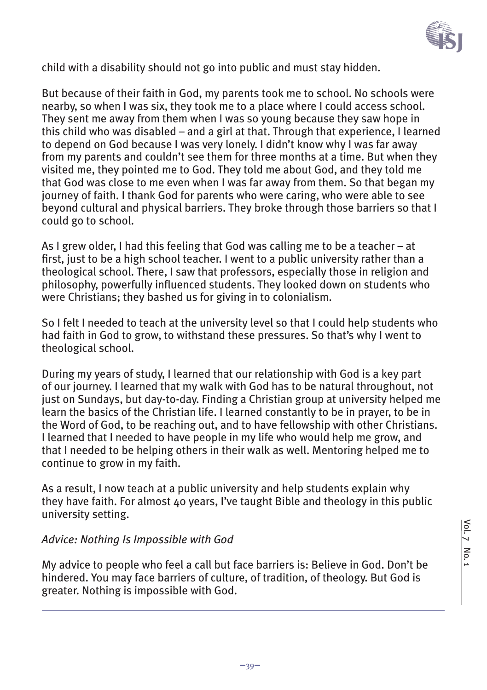

child with a disability should not go into public and must stay hidden.

But because of their faith in God, my parents took me to school. No schools were nearby, so when I was six, they took me to a place where I could access school. They sent me away from them when I was so young because they saw hope in this child who was disabled – and a girl at that. Through that experience, I learned to depend on God because I was very lonely. I didn't know why I was far away from my parents and couldn't see them for three months at a time. But when they visited me, they pointed me to God. They told me about God, and they told me that God was close to me even when I was far away from them. So that began my journey of faith. I thank God for parents who were caring, who were able to see beyond cultural and physical barriers. They broke through those barriers so that I could go to school.

As I grew older, I had this feeling that God was calling me to be a teacher – at first, just to be a high school teacher. I went to a public university rather than a theological school. There, I saw that professors, especially those in religion and philosophy, powerfully influenced students. They looked down on students who were Christians; they bashed us for giving in to colonialism.

So I felt I needed to teach at the university level so that I could help students who had faith in God to grow, to withstand these pressures. So that's why I went to theological school.

During my years of study, I learned that our relationship with God is a key part of our journey. I learned that my walk with God has to be natural throughout, not just on Sundays, but day-to-day. Finding a Christian group at university helped me learn the basics of the Christian life. I learned constantly to be in prayer, to be in the Word of God, to be reaching out, and to have fellowship with other Christians. I learned that I needed to have people in my life who would help me grow, and that I needed to be helping others in their walk as well. Mentoring helped me to continue to grow in my faith.

As a result, I now teach at a public university and help students explain why they have faith. For almost 40 years, I've taught Bible and theology in this public university setting.

#### *Advice: Nothing Is Impossible with God*

My advice to people who feel a call but face barriers is: Believe in God. Don't be hindered. You may face barriers of culture, of tradition, of theology. But God is greater. Nothing is impossible with God.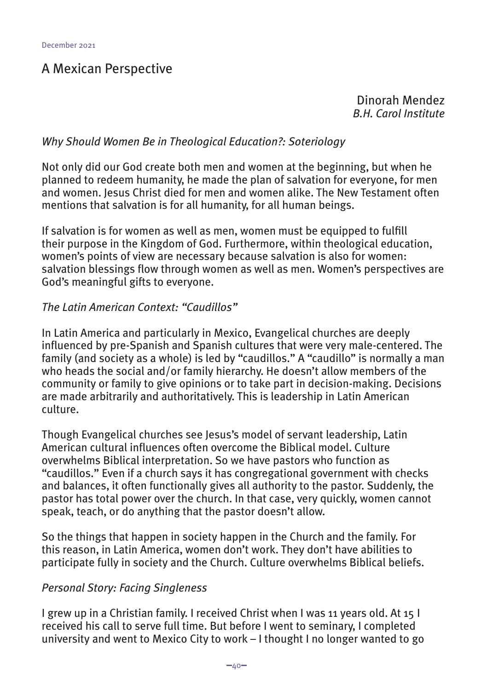### A Mexican Perspective

Dinorah Mendez *B.H. Carol Institute*

#### *Why Should Women Be in Theological Education?: Soteriology*

Not only did our God create both men and women at the beginning, but when he planned to redeem humanity, he made the plan of salvation for everyone, for men and women. Jesus Christ died for men and women alike. The New Testament often mentions that salvation is for all humanity, for all human beings.

If salvation is for women as well as men, women must be equipped to fulfill their purpose in the Kingdom of God. Furthermore, within theological education, women's points of view are necessary because salvation is also for women: salvation blessings flow through women as well as men. Women's perspectives are God's meaningful gifts to everyone.

#### *The Latin American Context: "Caudillos"*

In Latin America and particularly in Mexico, Evangelical churches are deeply influenced by pre-Spanish and Spanish cultures that were very male-centered. The family (and society as a whole) is led by "caudillos." A "caudillo" is normally a man who heads the social and/or family hierarchy. He doesn't allow members of the community or family to give opinions or to take part in decision-making. Decisions are made arbitrarily and authoritatively. This is leadership in Latin American culture.

Though Evangelical churches see Jesus's model of servant leadership, Latin American cultural influences often overcome the Biblical model. Culture overwhelms Biblical interpretation. So we have pastors who function as "caudillos." Even if a church says it has congregational government with checks and balances, it often functionally gives all authority to the pastor. Suddenly, the pastor has total power over the church. In that case, very quickly, women cannot speak, teach, or do anything that the pastor doesn't allow.

So the things that happen in society happen in the Church and the family. For this reason, in Latin America, women don't work. They don't have abilities to participate fully in society and the Church. Culture overwhelms Biblical beliefs.

#### *Personal Story: Facing Singleness*

I grew up in a Christian family. I received Christ when I was 11 years old. At 15 I received his call to serve full time. But before I went to seminary, I completed university and went to Mexico City to work – I thought I no longer wanted to go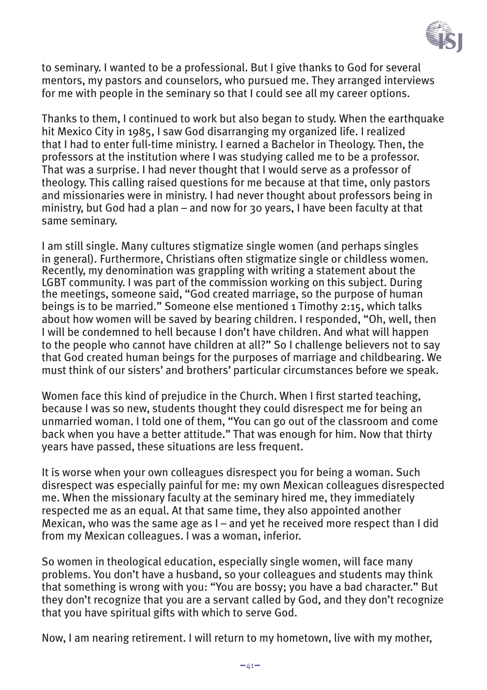

to seminary. I wanted to be a professional. But I give thanks to God for several mentors, my pastors and counselors, who pursued me. They arranged interviews for me with people in the seminary so that I could see all my career options.

Thanks to them, I continued to work but also began to study. When the earthquake hit Mexico City in 1985, I saw God disarranging my organized life. I realized that I had to enter full-time ministry. I earned a Bachelor in Theology. Then, the professors at the institution where I was studying called me to be a professor. That was a surprise. I had never thought that I would serve as a professor of theology. This calling raised questions for me because at that time, only pastors and missionaries were in ministry. I had never thought about professors being in ministry, but God had a plan – and now for 30 years, I have been faculty at that same seminary.

I am still single. Many cultures stigmatize single women (and perhaps singles in general). Furthermore, Christians often stigmatize single or childless women. Recently, my denomination was grappling with writing a statement about the LGBT community. I was part of the commission working on this subject. During the meetings, someone said, "God created marriage, so the purpose of human beings is to be married." Someone else mentioned 1 Timothy 2:15, which talks about how women will be saved by bearing children. I responded, "Oh, well, then I will be condemned to hell because I don't have children. And what will happen to the people who cannot have children at all?" So I challenge believers not to say that God created human beings for the purposes of marriage and childbearing. We must think of our sisters' and brothers' particular circumstances before we speak.

Women face this kind of prejudice in the Church. When I first started teaching, because I was so new, students thought they could disrespect me for being an unmarried woman. I told one of them, "You can go out of the classroom and come back when you have a better attitude." That was enough for him. Now that thirty years have passed, these situations are less frequent.

It is worse when your own colleagues disrespect you for being a woman. Such disrespect was especially painful for me: my own Mexican colleagues disrespected me. When the missionary faculty at the seminary hired me, they immediately respected me as an equal. At that same time, they also appointed another Mexican, who was the same age as I – and yet he received more respect than I did from my Mexican colleagues. I was a woman, inferior.

So women in theological education, especially single women, will face many problems. You don't have a husband, so your colleagues and students may think that something is wrong with you: "You are bossy; you have a bad character." But they don't recognize that you are a servant called by God, and they don't recognize that you have spiritual gifts with which to serve God.

Now, I am nearing retirement. I will return to my hometown, live with my mother,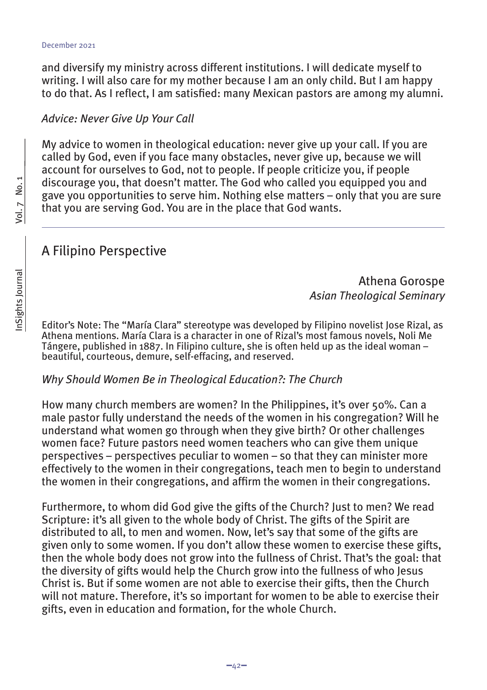and diversify my ministry across different institutions. I will dedicate myself to writing. I will also care for my mother because I am an only child. But I am happy to do that. As I reflect, I am satisfied: many Mexican pastors are among my alumni.

#### *Advice: Never Give Up Your Call*

My advice to women in theological education: never give up your call. If you are called by God, even if you face many obstacles, never give up, because we will account for ourselves to God, not to people. If people criticize you, if people discourage you, that doesn't matter. The God who called you equipped you and gave you opportunities to serve him. Nothing else matters – only that you are sure that you are serving God. You are in the place that God wants.

#### A Filipino Perspective

Athena Gorospe *Asian Theological Seminary*

Editor's Note: The "María Clara" stereotype was developed by Filipino novelist Jose Rizal, as Athena mentions. María Clara is a character in one of Rizal's most famous novels, Noli Me Tángere, published in 1887. In Filipino culture, she is often held up as the ideal woman – beautiful, courteous, demure, self-effacing, and reserved.

#### *Why Should Women Be in Theological Education?: The Church*

How many church members are women? In the Philippines, it's over 50%. Can a male pastor fully understand the needs of the women in his congregation? Will he understand what women go through when they give birth? Or other challenges women face? Future pastors need women teachers who can give them unique perspectives – perspectives peculiar to women – so that they can minister more effectively to the women in their congregations, teach men to begin to understand the women in their congregations, and affirm the women in their congregations.

Furthermore, to whom did God give the gifts of the Church? Just to men? We read Scripture: it's all given to the whole body of Christ. The gifts of the Spirit are distributed to all, to men and women. Now, let's say that some of the gifts are given only to some women. If you don't allow these women to exercise these gifts, then the whole body does not grow into the fullness of Christ. That's the goal: that the diversity of gifts would help the Church grow into the fullness of who Jesus Christ is. But if some women are not able to exercise their gifts, then the Church will not mature. Therefore, it's so important for women to be able to exercise their gifts, even in education and formation, for the whole Church.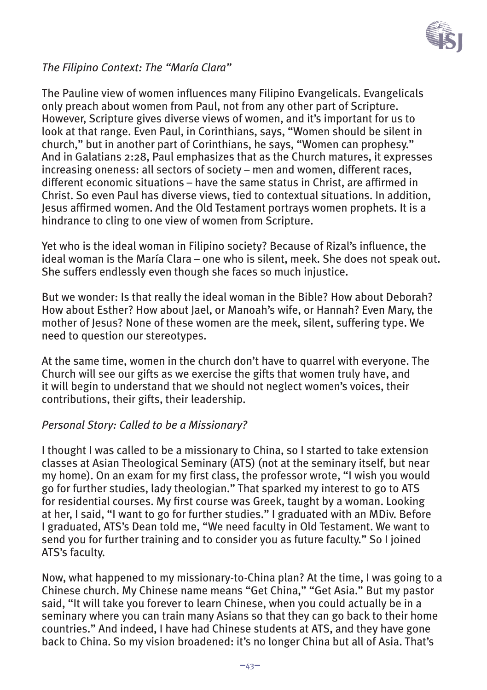

#### *The Filipino Context: The "María Clara"*

The Pauline view of women influences many Filipino Evangelicals. Evangelicals only preach about women from Paul, not from any other part of Scripture. However, Scripture gives diverse views of women, and it's important for us to look at that range. Even Paul, in Corinthians, says, "Women should be silent in church," but in another part of Corinthians, he says, "Women can prophesy." And in Galatians 2:28, Paul emphasizes that as the Church matures, it expresses increasing oneness: all sectors of society – men and women, different races, different economic situations – have the same status in Christ, are affirmed in Christ. So even Paul has diverse views, tied to contextual situations. In addition, Jesus affirmed women. And the Old Testament portrays women prophets. It is a hindrance to cling to one view of women from Scripture.

Yet who is the ideal woman in Filipino society? Because of Rizal's influence, the ideal woman is the María Clara – one who is silent, meek. She does not speak out. She suffers endlessly even though she faces so much injustice.

But we wonder: Is that really the ideal woman in the Bible? How about Deborah? How about Esther? How about Jael, or Manoah's wife, or Hannah? Even Mary, the mother of Jesus? None of these women are the meek, silent, suffering type. We need to question our stereotypes.

At the same time, women in the church don't have to quarrel with everyone. The Church will see our gifts as we exercise the gifts that women truly have, and it will begin to understand that we should not neglect women's voices, their contributions, their gifts, their leadership.

#### *Personal Story: Called to be a Missionary?*

I thought I was called to be a missionary to China, so I started to take extension classes at Asian Theological Seminary (ATS) (not at the seminary itself, but near my home). On an exam for my first class, the professor wrote, "I wish you would go for further studies, lady theologian." That sparked my interest to go to ATS for residential courses. My first course was Greek, taught by a woman. Looking at her, I said, "I want to go for further studies." I graduated with an MDiv. Before I graduated, ATS's Dean told me, "We need faculty in Old Testament. We want to send you for further training and to consider you as future faculty." So I joined ATS's faculty.

Now, what happened to my missionary-to-China plan? At the time, I was going to a Chinese church. My Chinese name means "Get China," "Get Asia." But my pastor said, "It will take you forever to learn Chinese, when you could actually be in a seminary where you can train many Asians so that they can go back to their home countries." And indeed, I have had Chinese students at ATS, and they have gone back to China. So my vision broadened: it's no longer China but all of Asia. That's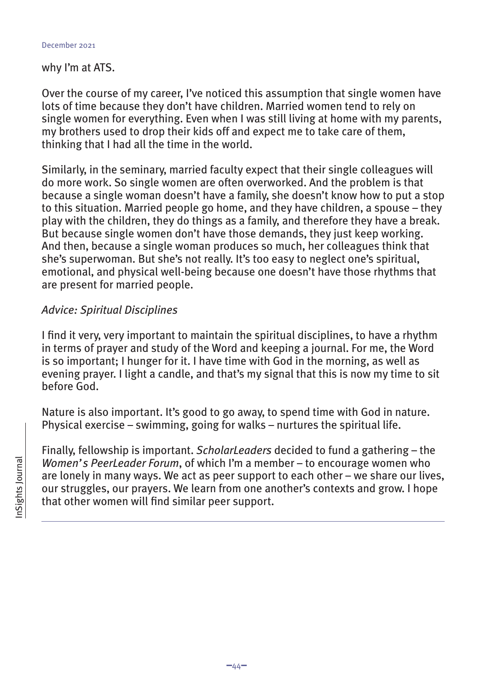#### why I'm at ATS.

Over the course of my career, I've noticed this assumption that single women have lots of time because they don't have children. Married women tend to rely on single women for everything. Even when I was still living at home with my parents, my brothers used to drop their kids off and expect me to take care of them, thinking that I had all the time in the world.

Similarly, in the seminary, married faculty expect that their single colleagues will do more work. So single women are often overworked. And the problem is that because a single woman doesn't have a family, she doesn't know how to put a stop to this situation. Married people go home, and they have children, a spouse – they play with the children, they do things as a family, and therefore they have a break. But because single women don't have those demands, they just keep working. And then, because a single woman produces so much, her colleagues think that she's superwoman. But she's not really. It's too easy to neglect one's spiritual, emotional, and physical well-being because one doesn't have those rhythms that are present for married people.

#### *Advice: Spiritual Disciplines*

I find it very, very important to maintain the spiritual disciplines, to have a rhythm in terms of prayer and study of the Word and keeping a journal. For me, the Word is so important; I hunger for it. I have time with God in the morning, as well as evening prayer. I light a candle, and that's my signal that this is now my time to sit before God.

Nature is also important. It's good to go away, to spend time with God in nature. Physical exercise – swimming, going for walks – nurtures the spiritual life.

Finally, fellowship is important. *ScholarLeaders* decided to fund a gathering – the *Women's PeerLeader Forum*, of which I'm a member – to encourage women who are lonely in many ways. We act as peer support to each other – we share our lives, our struggles, our prayers. We learn from one another's contexts and grow. I hope that other women will find similar peer support.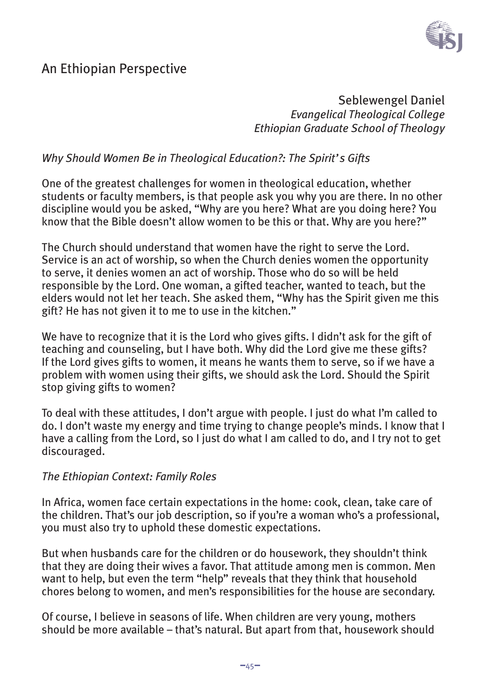

### An Ethiopian Perspective

Seblewengel Daniel *Evangelical Theological College Ethiopian Graduate School of Theology*

#### *Why Should Women Be in Theological Education?: The Spirit's Gifts*

One of the greatest challenges for women in theological education, whether students or faculty members, is that people ask you why you are there. In no other discipline would you be asked, "Why are you here? What are you doing here? You know that the Bible doesn't allow women to be this or that. Why are you here?"

The Church should understand that women have the right to serve the Lord. Service is an act of worship, so when the Church denies women the opportunity to serve, it denies women an act of worship. Those who do so will be held responsible by the Lord. One woman, a gifted teacher, wanted to teach, but the elders would not let her teach. She asked them, "Why has the Spirit given me this gift? He has not given it to me to use in the kitchen."

We have to recognize that it is the Lord who gives gifts. I didn't ask for the gift of teaching and counseling, but I have both. Why did the Lord give me these gifts? If the Lord gives gifts to women, it means he wants them to serve, so if we have a problem with women using their gifts, we should ask the Lord. Should the Spirit stop giving gifts to women?

To deal with these attitudes, I don't argue with people. I just do what I'm called to do. I don't waste my energy and time trying to change people's minds. I know that I have a calling from the Lord, so I just do what I am called to do, and I try not to get discouraged.

#### *The Ethiopian Context: Family Roles*

In Africa, women face certain expectations in the home: cook, clean, take care of the children. That's our job description, so if you're a woman who's a professional, you must also try to uphold these domestic expectations.

But when husbands care for the children or do housework, they shouldn't think that they are doing their wives a favor. That attitude among men is common. Men want to help, but even the term "help" reveals that they think that household chores belong to women, and men's responsibilities for the house are secondary.

Of course, I believe in seasons of life. When children are very young, mothers should be more available – that's natural. But apart from that, housework should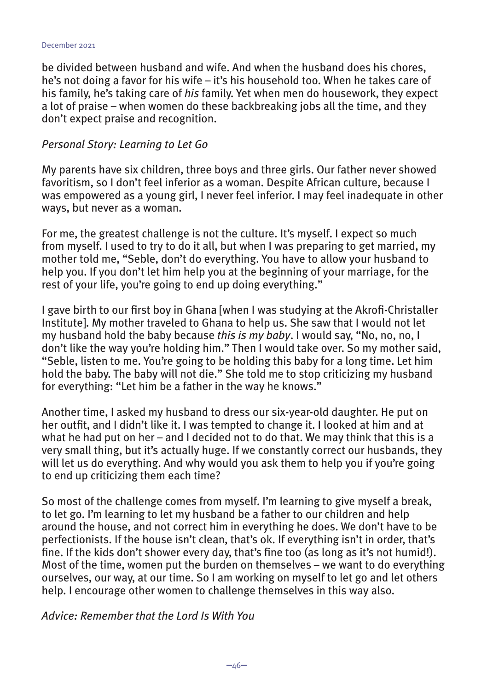be divided between husband and wife. And when the husband does his chores, he's not doing a favor for his wife – it's his household too. When he takes care of his family, he's taking care of *his* family. Yet when men do housework, they expect a lot of praise – when women do these backbreaking jobs all the time, and they don't expect praise and recognition.

#### *Personal Story: Learning to Let Go*

My parents have six children, three boys and three girls. Our father never showed favoritism, so I don't feel inferior as a woman. Despite African culture, because I was empowered as a young girl, I never feel inferior. I may feel inadequate in other ways, but never as a woman.

For me, the greatest challenge is not the culture. It's myself. I expect so much from myself. I used to try to do it all, but when I was preparing to get married, my mother told me, "Seble, don't do everything. You have to allow your husband to help you. If you don't let him help you at the beginning of your marriage, for the rest of your life, you're going to end up doing everything."

I gave birth to our first boy in Ghana [when I was studying at the Akrofi-Christaller Institute]. My mother traveled to Ghana to help us. She saw that I would not let my husband hold the baby because *this is my baby*. I would say, "No, no, no, I don't like the way you're holding him." Then I would take over. So my mother said, "Seble, listen to me. You're going to be holding this baby for a long time. Let him hold the baby. The baby will not die." She told me to stop criticizing my husband for everything: "Let him be a father in the way he knows."

Another time, I asked my husband to dress our six-year-old daughter. He put on her outfit, and I didn't like it. I was tempted to change it. I looked at him and at what he had put on her – and I decided not to do that. We may think that this is a very small thing, but it's actually huge. If we constantly correct our husbands, they will let us do everything. And why would you ask them to help you if you're going to end up criticizing them each time?

So most of the challenge comes from myself. I'm learning to give myself a break, to let go. I'm learning to let my husband be a father to our children and help around the house, and not correct him in everything he does. We don't have to be perfectionists. If the house isn't clean, that's ok. If everything isn't in order, that's fine. If the kids don't shower every day, that's fine too (as long as it's not humid!). Most of the time, women put the burden on themselves – we want to do everything ourselves, our way, at our time. So I am working on myself to let go and let others help. I encourage other women to challenge themselves in this way also.

*Advice: Remember that the Lord Is With You*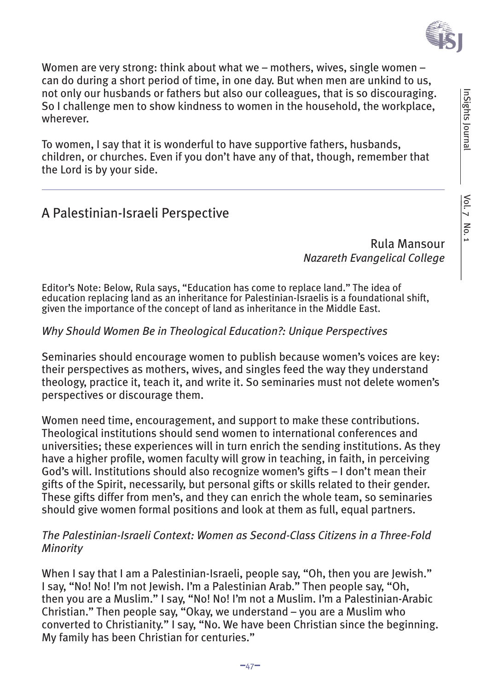

Women are very strong: think about what we – mothers, wives, single women – can do during a short period of time, in one day. But when men are unkind to us, not only our husbands or fathers but also our colleagues, that is so discouraging. So I challenge men to show kindness to women in the household, the workplace, wherever.

To women, I say that it is wonderful to have supportive fathers, husbands, children, or churches. Even if you don't have any of that, though, remember that the Lord is by your side.

### A Palestinian-Israeli Perspective

Rula Mansour *Nazareth Evangelical College*

Editor's Note: Below, Rula says, "Education has come to replace land." The idea of education replacing land as an inheritance for Palestinian-Israelis is a foundational shift, given the importance of the concept of land as inheritance in the Middle East.

#### *Why Should Women Be in Theological Education?: Unique Perspectives*

Seminaries should encourage women to publish because women's voices are key: their perspectives as mothers, wives, and singles feed the way they understand theology, practice it, teach it, and write it. So seminaries must not delete women's perspectives or discourage them.

Women need time, encouragement, and support to make these contributions. Theological institutions should send women to international conferences and universities; these experiences will in turn enrich the sending institutions. As they have a higher profile, women faculty will grow in teaching, in faith, in perceiving God's will. Institutions should also recognize women's gifts – I don't mean their gifts of the Spirit, necessarily, but personal gifts or skills related to their gender. These gifts differ from men's, and they can enrich the whole team, so seminaries should give women formal positions and look at them as full, equal partners.

#### *The Palestinian-Israeli Context: Women as Second-Class Citizens in a Three-Fold Minority*

When I say that I am a Palestinian-Israeli, people say, "Oh, then you are Jewish." I say, "No! No! I'm not Jewish. I'm a Palestinian Arab." Then people say, "Oh, then you are a Muslim." I say, "No! No! I'm not a Muslim. I'm a Palestinian-Arabic Christian." Then people say, "Okay, we understand – you are a Muslim who converted to Christianity." I say, "No. We have been Christian since the beginning. My family has been Christian for centuries."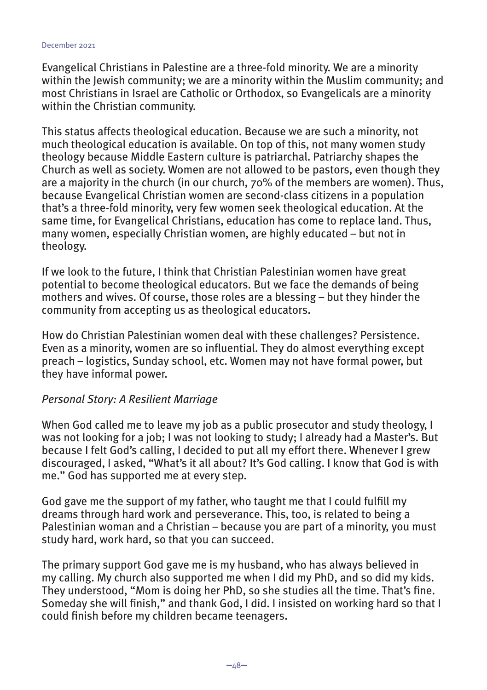Evangelical Christians in Palestine are a three-fold minority. We are a minority within the Jewish community; we are a minority within the Muslim community; and most Christians in Israel are Catholic or Orthodox, so Evangelicals are a minority within the Christian community.

This status affects theological education. Because we are such a minority, not much theological education is available. On top of this, not many women study theology because Middle Eastern culture is patriarchal. Patriarchy shapes the Church as well as society. Women are not allowed to be pastors, even though they are a majority in the church (in our church, 70% of the members are women). Thus, because Evangelical Christian women are second-class citizens in a population that's a three-fold minority, very few women seek theological education. At the same time, for Evangelical Christians, education has come to replace land. Thus, many women, especially Christian women, are highly educated – but not in theology.

If we look to the future, I think that Christian Palestinian women have great potential to become theological educators. But we face the demands of being mothers and wives. Of course, those roles are a blessing – but they hinder the community from accepting us as theological educators.

How do Christian Palestinian women deal with these challenges? Persistence. Even as a minority, women are so influential. They do almost everything except preach – logistics, Sunday school, etc. Women may not have formal power, but they have informal power.

#### *Personal Story: A Resilient Marriage*

When God called me to leave my job as a public prosecutor and study theology, I was not looking for a job; I was not looking to study; I already had a Master's. But because I felt God's calling, I decided to put all my effort there. Whenever I grew discouraged, I asked, "What's it all about? It's God calling. I know that God is with me." God has supported me at every step.

God gave me the support of my father, who taught me that I could fulfill my dreams through hard work and perseverance. This, too, is related to being a Palestinian woman and a Christian – because you are part of a minority, you must study hard, work hard, so that you can succeed.

The primary support God gave me is my husband, who has always believed in my calling. My church also supported me when I did my PhD, and so did my kids. They understood, "Mom is doing her PhD, so she studies all the time. That's fine. Someday she will finish," and thank God, I did. I insisted on working hard so that I could finish before my children became teenagers.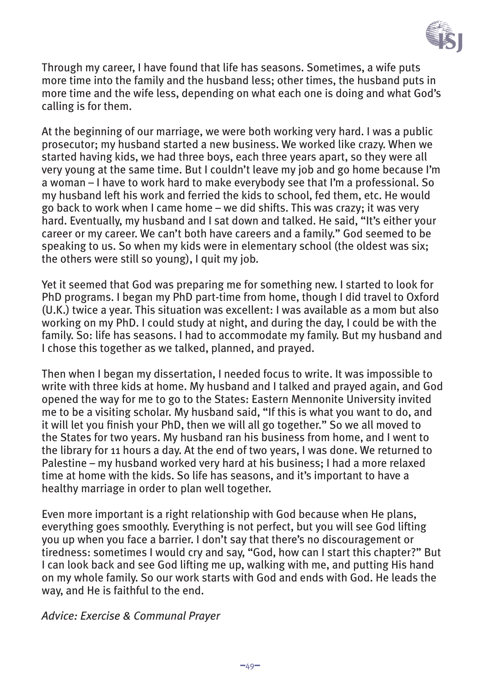

Through my career, I have found that life has seasons. Sometimes, a wife puts more time into the family and the husband less; other times, the husband puts in more time and the wife less, depending on what each one is doing and what God's calling is for them.

At the beginning of our marriage, we were both working very hard. I was a public prosecutor; my husband started a new business. We worked like crazy. When we started having kids, we had three boys, each three years apart, so they were all very young at the same time. But I couldn't leave my job and go home because I'm a woman – I have to work hard to make everybody see that I'm a professional. So my husband left his work and ferried the kids to school, fed them, etc. He would go back to work when I came home – we did shifts. This was crazy; it was very hard. Eventually, my husband and I sat down and talked. He said, "It's either your career or my career. We can't both have careers and a family." God seemed to be speaking to us. So when my kids were in elementary school (the oldest was six; the others were still so young), I quit my job.

Yet it seemed that God was preparing me for something new. I started to look for PhD programs. I began my PhD part-time from home, though I did travel to Oxford (U.K.) twice a year. This situation was excellent: I was available as a mom but also working on my PhD. I could study at night, and during the day, I could be with the family. So: life has seasons. I had to accommodate my family. But my husband and I chose this together as we talked, planned, and prayed.

Then when I began my dissertation, I needed focus to write. It was impossible to write with three kids at home. My husband and I talked and prayed again, and God opened the way for me to go to the States: Eastern Mennonite University invited me to be a visiting scholar. My husband said, "If this is what you want to do, and it will let you finish your PhD, then we will all go together." So we all moved to the States for two years. My husband ran his business from home, and I went to the library for 11 hours a day. At the end of two years, I was done. We returned to Palestine – my husband worked very hard at his business; I had a more relaxed time at home with the kids. So life has seasons, and it's important to have a healthy marriage in order to plan well together.

Even more important is a right relationship with God because when He plans, everything goes smoothly. Everything is not perfect, but you will see God lifting you up when you face a barrier. I don't say that there's no discouragement or tiredness: sometimes I would cry and say, "God, how can I start this chapter?" But I can look back and see God lifting me up, walking with me, and putting His hand on my whole family. So our work starts with God and ends with God. He leads the way, and He is faithful to the end.

#### *Advice: Exercise & Communal Prayer*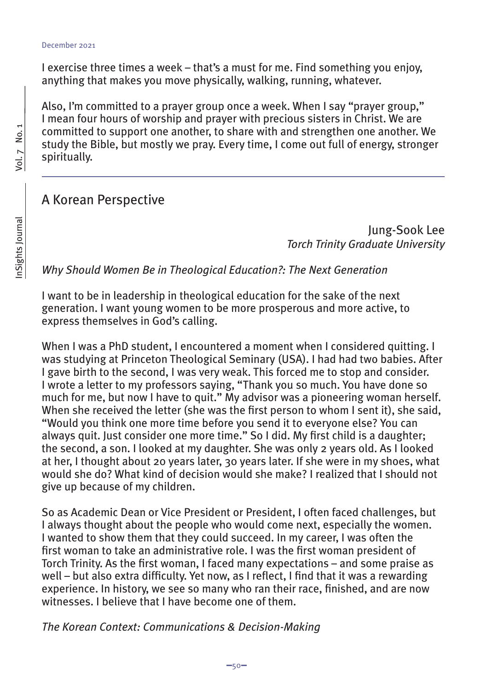I exercise three times a week – that's a must for me. Find something you enjoy, anything that makes you move physically, walking, running, whatever.

Also, I'm committed to a prayer group once a week. When I say "prayer group," I mean four hours of worship and prayer with precious sisters in Christ. We are committed to support one another, to share with and strengthen one another. We study the Bible, but mostly we pray. Every time, I come out full of energy, stronger spiritually.

#### A Korean Perspective

Jung-Sook Lee *Torch Trinity Graduate University*

*Why Should Women Be in Theological Education?: The Next Generation*

I want to be in leadership in theological education for the sake of the next generation. I want young women to be more prosperous and more active, to express themselves in God's calling.

When I was a PhD student, I encountered a moment when I considered quitting. I was studying at Princeton Theological Seminary (USA). I had had two babies. After I gave birth to the second, I was very weak. This forced me to stop and consider. I wrote a letter to my professors saying, "Thank you so much. You have done so much for me, but now I have to quit." My advisor was a pioneering woman herself. When she received the letter (she was the first person to whom I sent it), she said, "Would you think one more time before you send it to everyone else? You can always quit. Just consider one more time." So I did. My first child is a daughter; the second, a son. I looked at my daughter. She was only 2 years old. As I looked at her, I thought about 20 years later, 30 years later. If she were in my shoes, what would she do? What kind of decision would she make? I realized that I should not give up because of my children.

So as Academic Dean or Vice President or President, I often faced challenges, but I always thought about the people who would come next, especially the women. I wanted to show them that they could succeed. In my career, I was often the first woman to take an administrative role. I was the first woman president of Torch Trinity. As the first woman, I faced many expectations – and some praise as well – but also extra difficulty. Yet now, as I reflect, I find that it was a rewarding experience. In history, we see so many who ran their race, finished, and are now witnesses. I believe that I have become one of them.

*The Korean Context: Communications & Decision-Making*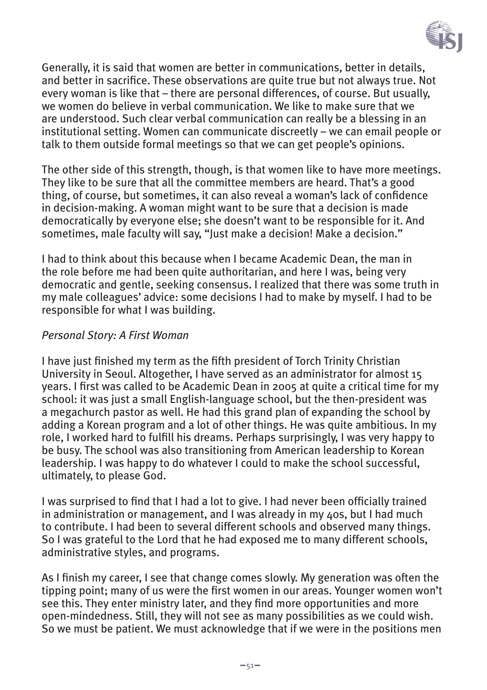

Generally, it is said that women are better in communications, better in details, and better in sacrifice. These observations are quite true but not always true. Not every woman is like that – there are personal differences, of course. But usually, we women do believe in verbal communication. We like to make sure that we are understood. Such clear verbal communication can really be a blessing in an institutional setting. Women can communicate discreetly – we can email people or talk to them outside formal meetings so that we can get people's opinions.

The other side of this strength, though, is that women like to have more meetings. They like to be sure that all the committee members are heard. That's a good thing, of course, but sometimes, it can also reveal a woman's lack of confidence in decision-making. A woman might want to be sure that a decision is made democratically by everyone else; she doesn't want to be responsible for it. And sometimes, male faculty will say, "Just make a decision! Make a decision."

I had to think about this because when I became Academic Dean, the man in the role before me had been quite authoritarian, and here I was, being very democratic and gentle, seeking consensus. I realized that there was some truth in my male colleagues' advice: some decisions I had to make by myself. I had to be responsible for what I was building.

#### *Personal Story: A First Woman*

I have just finished my term as the fifth president of Torch Trinity Christian University in Seoul. Altogether, I have served as an administrator for almost 15 years. I first was called to be Academic Dean in 2005 at quite a critical time for my school: it was just a small English-language school, but the then-president was a megachurch pastor as well. He had this grand plan of expanding the school by adding a Korean program and a lot of other things. He was quite ambitious. In my role, I worked hard to fulfill his dreams. Perhaps surprisingly, I was very happy to be busy. The school was also transitioning from American leadership to Korean leadership. I was happy to do whatever I could to make the school successful, ultimately, to please God.

I was surprised to find that I had a lot to give. I had never been officially trained in administration or management, and I was already in my 40s, but I had much to contribute. I had been to several different schools and observed many things. So I was grateful to the Lord that he had exposed me to many different schools, administrative styles, and programs.

As I finish my career, I see that change comes slowly. My generation was often the tipping point; many of us were the first women in our areas. Younger women won't see this. They enter ministry later, and they find more opportunities and more open-mindedness. Still, they will not see as many possibilities as we could wish. So we must be patient. We must acknowledge that if we were in the positions men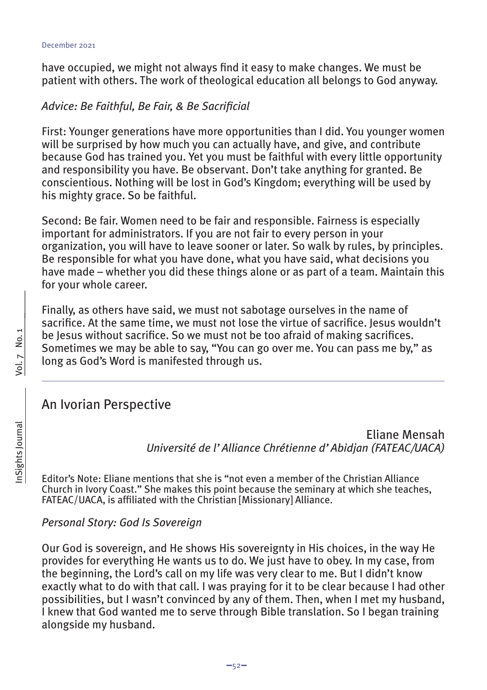have occupied, we might not always find it easy to make changes. We must be patient with others. The work of theological education all belongs to God anyway.

#### *Advice: Be Faithful, Be Fair, & Be Sacrificial*

First: Younger generations have more opportunities than I did. You younger women will be surprised by how much you can actually have, and give, and contribute because God has trained you. Yet you must be faithful with every little opportunity and responsibility you have. Be observant. Don't take anything for granted. Be conscientious. Nothing will be lost in God's Kingdom; everything will be used by his mighty grace. So be faithful.

Second: Be fair. Women need to be fair and responsible. Fairness is especially important for administrators. If you are not fair to every person in your organization, you will have to leave sooner or later. So walk by rules, by principles. Be responsible for what you have done, what you have said, what decisions you have made – whether you did these things alone or as part of a team. Maintain this for your whole career.

Finally, as others have said, we must not sabotage ourselves in the name of sacrifice. At the same time, we must not lose the virtue of sacrifice. Jesus wouldn't be Jesus without sacrifice. So we must not be too afraid of making sacrifices. Sometimes we may be able to say, "You can go over me. You can pass me by," as long as God's Word is manifested through us.

#### An Ivorian Perspective

Eliane Mensah *Université de l'Alliance Chrétienne d'Abidjan (FATEAC/UACA)*

Editor's Note: Eliane mentions that she is "not even a member of the Christian Alliance Church in Ivory Coast." She makes this point because the seminary at which she teaches, FATEAC/UACA, is affiliated with the Christian [Missionary] Alliance.

#### *Personal Story: God Is Sovereign*

Our God is sovereign, and He shows His sovereignty in His choices, in the way He provides for everything He wants us to do. We just have to obey. In my case, from the beginning, the Lord's call on my life was very clear to me. But I didn't know exactly what to do with that call. I was praying for it to be clear because I had other possibilities, but I wasn't convinced by any of them. Then, when I met my husband, I knew that God wanted me to serve through Bible translation. So I began training alongside my husband.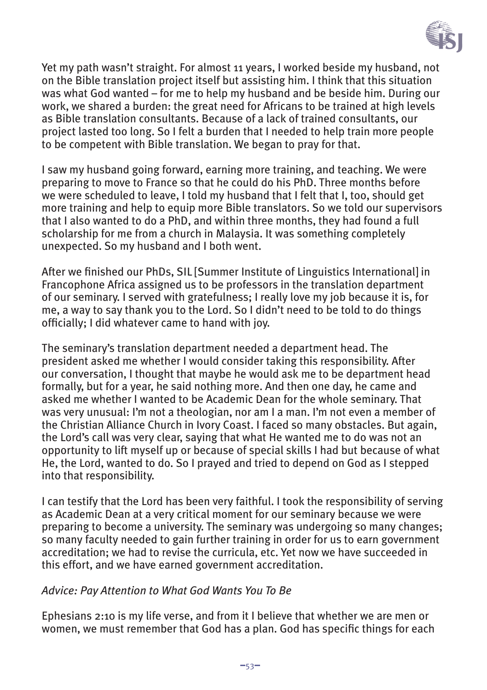

Yet my path wasn't straight. For almost 11 years, I worked beside my husband, not on the Bible translation project itself but assisting him. I think that this situation was what God wanted – for me to help my husband and be beside him. During our work, we shared a burden: the great need for Africans to be trained at high levels as Bible translation consultants. Because of a lack of trained consultants, our project lasted too long. So I felt a burden that I needed to help train more people to be competent with Bible translation. We began to pray for that.

I saw my husband going forward, earning more training, and teaching. We were preparing to move to France so that he could do his PhD. Three months before we were scheduled to leave, I told my husband that I felt that I, too, should get more training and help to equip more Bible translators. So we told our supervisors that I also wanted to do a PhD, and within three months, they had found a full scholarship for me from a church in Malaysia. It was something completely unexpected. So my husband and I both went.

After we finished our PhDs, SIL [Summer Institute of Linguistics International] in Francophone Africa assigned us to be professors in the translation department of our seminary. I served with gratefulness; I really love my job because it is, for me, a way to say thank you to the Lord. So I didn't need to be told to do things officially; I did whatever came to hand with joy.

The seminary's translation department needed a department head. The president asked me whether I would consider taking this responsibility. After our conversation, I thought that maybe he would ask me to be department head formally, but for a year, he said nothing more. And then one day, he came and asked me whether I wanted to be Academic Dean for the whole seminary. That was very unusual: I'm not a theologian, nor am I a man. I'm not even a member of the Christian Alliance Church in Ivory Coast. I faced so many obstacles. But again, the Lord's call was very clear, saying that what He wanted me to do was not an opportunity to lift myself up or because of special skills I had but because of what He, the Lord, wanted to do. So I prayed and tried to depend on God as I stepped into that responsibility.

I can testify that the Lord has been very faithful. I took the responsibility of serving as Academic Dean at a very critical moment for our seminary because we were preparing to become a university. The seminary was undergoing so many changes; so many faculty needed to gain further training in order for us to earn government accreditation; we had to revise the curricula, etc. Yet now we have succeeded in this effort, and we have earned government accreditation.

#### *Advice: Pay Attention to What God Wants You To Be*

Ephesians 2:10 is my life verse, and from it I believe that whether we are men or women, we must remember that God has a plan. God has specific things for each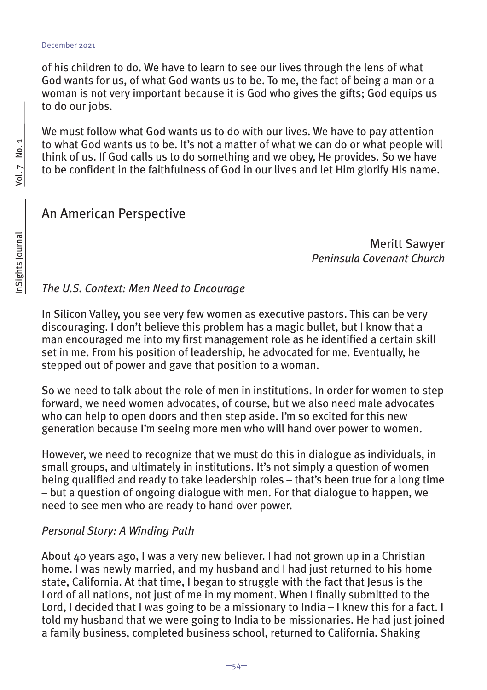of his children to do. We have to learn to see our lives through the lens of what God wants for us, of what God wants us to be. To me, the fact of being a man or a woman is not very important because it is God who gives the gifts; God equips us to do our jobs.

We must follow what God wants us to do with our lives. We have to pay attention to what God wants us to be. It's not a matter of what we can do or what people will think of us. If God calls us to do something and we obey, He provides. So we have to be confident in the faithfulness of God in our lives and let Him glorify His name.

#### An American Perspective

Meritt Sawyer *Peninsula Covenant Church*

#### *The U.S. Context: Men Need to Encourage*

In Silicon Valley, you see very few women as executive pastors. This can be very discouraging. I don't believe this problem has a magic bullet, but I know that a man encouraged me into my first management role as he identified a certain skill set in me. From his position of leadership, he advocated for me. Eventually, he stepped out of power and gave that position to a woman.

So we need to talk about the role of men in institutions. In order for women to step forward, we need women advocates, of course, but we also need male advocates who can help to open doors and then step aside. I'm so excited for this new generation because I'm seeing more men who will hand over power to women.

However, we need to recognize that we must do this in dialogue as individuals, in small groups, and ultimately in institutions. It's not simply a question of women being qualified and ready to take leadership roles – that's been true for a long time  $-$  but a question of ongoing dialogue with men. For that dialogue to happen, we need to see men who are ready to hand over power.

#### *Personal Story: A Winding Path*

About 40 years ago, I was a very new believer. I had not grown up in a Christian home. I was newly married, and my husband and I had just returned to his home state, California. At that time, I began to struggle with the fact that Jesus is the Lord of all nations, not just of me in my moment. When I finally submitted to the Lord, I decided that I was going to be a missionary to India – I knew this for a fact. I told my husband that we were going to India to be missionaries. He had just joined a family business, completed business school, returned to California. Shaking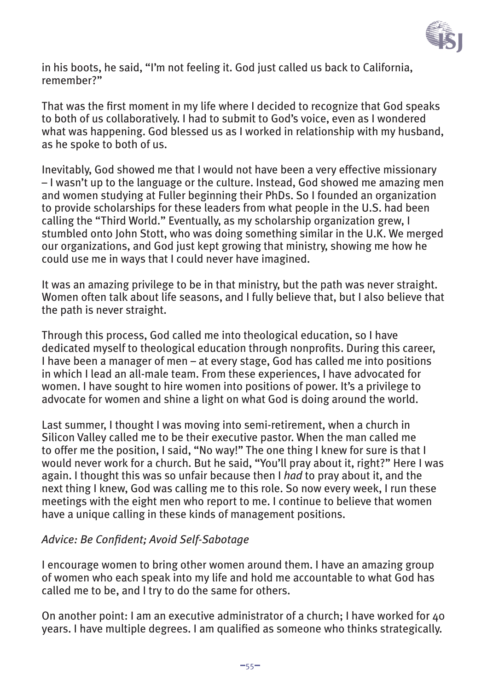

in his boots, he said, "I'm not feeling it. God just called us back to California, remember?"

That was the first moment in my life where I decided to recognize that God speaks to both of us collaboratively. I had to submit to God's voice, even as I wondered what was happening. God blessed us as I worked in relationship with my husband, as he spoke to both of us.

Inevitably, God showed me that I would not have been a very effective missionary – I wasn't up to the language or the culture. Instead, God showed me amazing men and women studying at Fuller beginning their PhDs. So I founded an organization to provide scholarships for these leaders from what people in the U.S. had been calling the "Third World." Eventually, as my scholarship organization grew, I stumbled onto John Stott, who was doing something similar in the U.K. We merged our organizations, and God just kept growing that ministry, showing me how he could use me in ways that I could never have imagined.

It was an amazing privilege to be in that ministry, but the path was never straight. Women often talk about life seasons, and I fully believe that, but I also believe that the path is never straight.

Through this process, God called me into theological education, so I have dedicated myself to theological education through nonprofits. During this career, I have been a manager of men – at every stage, God has called me into positions in which I lead an all-male team. From these experiences, I have advocated for women. I have sought to hire women into positions of power. It's a privilege to advocate for women and shine a light on what God is doing around the world.

Last summer, I thought I was moving into semi-retirement, when a church in Silicon Valley called me to be their executive pastor. When the man called me to offer me the position, I said, "No way!" The one thing I knew for sure is that I would never work for a church. But he said, "You'll pray about it, right?" Here I was again. I thought this was so unfair because then I *had* to pray about it, and the next thing I knew, God was calling me to this role. So now every week, I run these meetings with the eight men who report to me. I continue to believe that women have a unique calling in these kinds of management positions.

#### *Advice: Be Confident; Avoid Self-Sabotage*

I encourage women to bring other women around them. I have an amazing group of women who each speak into my life and hold me accountable to what God has called me to be, and I try to do the same for others.

On another point: I am an executive administrator of a church: I have worked for  $\Delta$ o years. I have multiple degrees. I am qualified as someone who thinks strategically.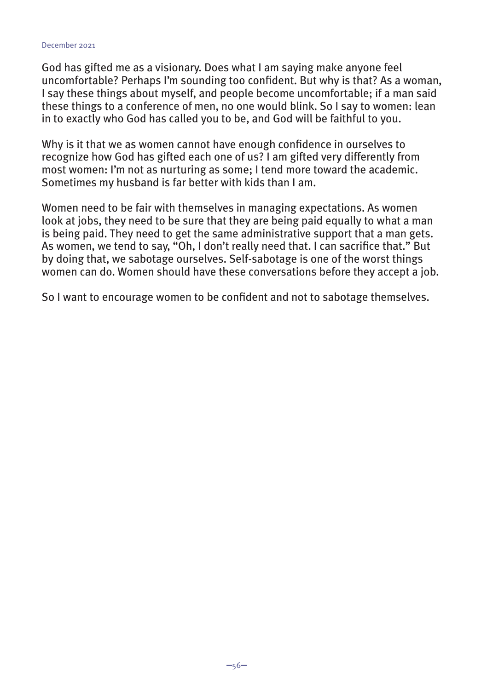God has gifted me as a visionary. Does what I am saying make anyone feel uncomfortable? Perhaps I'm sounding too confident. But why is that? As a woman, I say these things about myself, and people become uncomfortable; if a man said these things to a conference of men, no one would blink. So I say to women: lean in to exactly who God has called you to be, and God will be faithful to you.

Why is it that we as women cannot have enough confidence in ourselves to recognize how God has gifted each one of us? I am gifted very differently from most women: I'm not as nurturing as some; I tend more toward the academic. Sometimes my husband is far better with kids than I am.

Women need to be fair with themselves in managing expectations. As women look at jobs, they need to be sure that they are being paid equally to what a man is being paid. They need to get the same administrative support that a man gets. As women, we tend to say, "Oh, I don't really need that. I can sacrifice that." But by doing that, we sabotage ourselves. Self-sabotage is one of the worst things women can do. Women should have these conversations before they accept a job.

So I want to encourage women to be confident and not to sabotage themselves.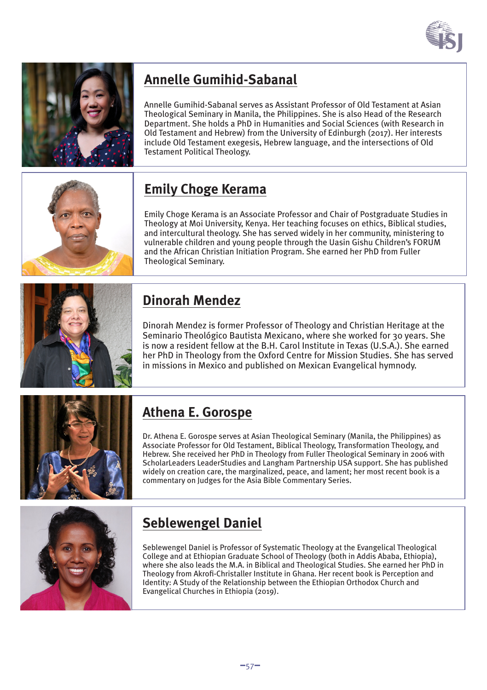



### **Annelle Gumihid-Sabanal**

Annelle Gumihid-Sabanal serves as Assistant Professor of Old Testament at Asian Theological Seminary in Manila, the Philippines. She is also Head of the Research Department. She holds a PhD in Humanities and Social Sciences (with Research in Old Testament and Hebrew) from the University of Edinburgh (2017). Her interests include Old Testament exegesis, Hebrew language, and the intersections of Old Testament Political Theology.

## **Emily Choge Kerama**

Emily Choge Kerama is an Associate Professor and Chair of Postgraduate Studies in Theology at Moi University, Kenya. Her teaching focuses on ethics, Biblical studies, and intercultural theology. She has served widely in her community, ministering to vulnerable children and young people through the Uasin Gishu Children's FORUM and the African Christian Initiation Program. She earned her PhD from Fuller Theological Seminary.



## **Dinorah Mendez**

Dinorah Mendez is former Professor of Theology and Christian Heritage at the Seminario Theológico Bautista Mexicano, where she worked for 30 years. She is now a resident fellow at the B.H. Carol Institute in Texas (U.S.A.). She earned her PhD in Theology from the Oxford Centre for Mission Studies. She has served in missions in Mexico and published on Mexican Evangelical hymnody.



### **Athena E. Gorospe**

Dr. Athena E. Gorospe serves at Asian Theological Seminary (Manila, the Philippines) as Associate Professor for Old Testament, Biblical Theology, Transformation Theology, and Hebrew. She received her PhD in Theology from Fuller Theological Seminary in 2006 with ScholarLeaders LeaderStudies and Langham Partnership USA support. She has published widely on creation care, the marginalized, peace, and lament; her most recent book is a commentary on Judges for the Asia Bible Commentary Series.



### **Seblewengel Daniel**

Seblewengel Daniel is Professor of Systematic Theology at the Evangelical Theological College and at Ethiopian Graduate School of Theology (both in Addis Ababa, Ethiopia), where she also leads the M.A. in Biblical and Theological Studies. She earned her PhD in Theology from Akrofi-Christaller Institute in Ghana. Her recent book is Perception and Identity: A Study of the Relationship between the Ethiopian Orthodox Church and Evangelical Churches in Ethiopia (2019).